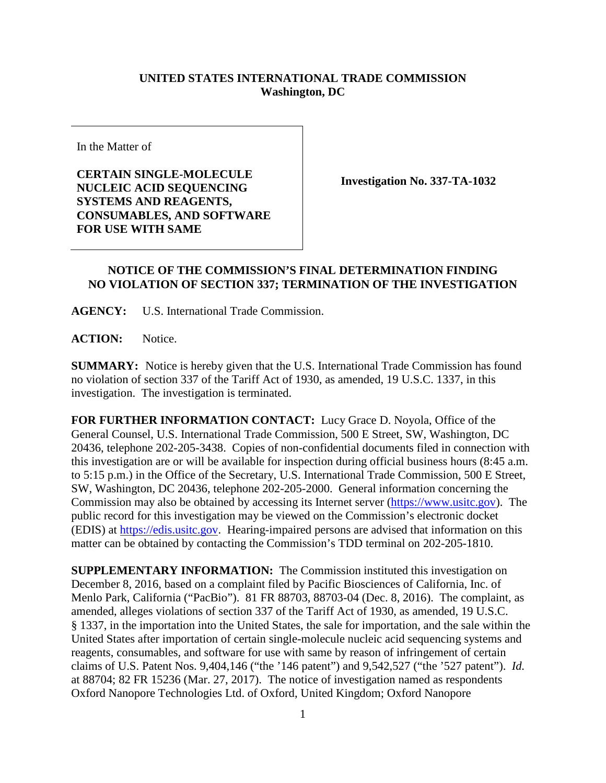## **UNITED STATES INTERNATIONAL TRADE COMMISSION Washington, DC**

In the Matter of

**CERTAIN SINGLE-MOLECULE NUCLEIC ACID SEQUENCING SYSTEMS AND REAGENTS, CONSUMABLES, AND SOFTWARE FOR USE WITH SAME** 

**Investigation No. 337-TA-1032**

## **NOTICE OF THE COMMISSION'S FINAL DETERMINATION FINDING NO VIOLATION OF SECTION 337; TERMINATION OF THE INVESTIGATION**

**AGENCY:** U.S. International Trade Commission.

**ACTION:** Notice.

**SUMMARY:** Notice is hereby given that the U.S. International Trade Commission has found no violation of section 337 of the Tariff Act of 1930, as amended, 19 U.S.C. 1337, in this investigation. The investigation is terminated.

**FOR FURTHER INFORMATION CONTACT:** Lucy Grace D. Noyola, Office of the General Counsel, U.S. International Trade Commission, 500 E Street, SW, Washington, DC 20436, telephone 202-205-3438. Copies of non-confidential documents filed in connection with this investigation are or will be available for inspection during official business hours (8:45 a.m. to 5:15 p.m.) in the Office of the Secretary, U.S. International Trade Commission, 500 E Street, SW, Washington, DC 20436, telephone 202-205-2000. General information concerning the Commission may also be obtained by accessing its Internet server [\(https://www.usitc.gov\)](http://www.usitc.gov/). The public record for this investigation may be viewed on the Commission's electronic docket (EDIS) at [https://edis.usitc.gov.](http://edis.usitc.gov/) Hearing-impaired persons are advised that information on this matter can be obtained by contacting the Commission's TDD terminal on 202-205-1810.

**SUPPLEMENTARY INFORMATION:** The Commission instituted this investigation on December 8, 2016, based on a complaint filed by Pacific Biosciences of California, Inc. of Menlo Park, California ("PacBio"). 81 FR 88703, 88703-04 (Dec. 8, 2016). The complaint, as amended, alleges violations of section 337 of the Tariff Act of 1930, as amended, 19 U.S.C. § 1337, in the importation into the United States, the sale for importation, and the sale within the United States after importation of certain single-molecule nucleic acid sequencing systems and reagents, consumables, and software for use with same by reason of infringement of certain claims of U.S. Patent Nos. 9,404,146 ("the '146 patent") and 9,542,527 ("the '527 patent"). *Id.*  at 88704; 82 FR 15236 (Mar. 27, 2017). The notice of investigation named as respondents Oxford Nanopore Technologies Ltd. of Oxford, United Kingdom; Oxford Nanopore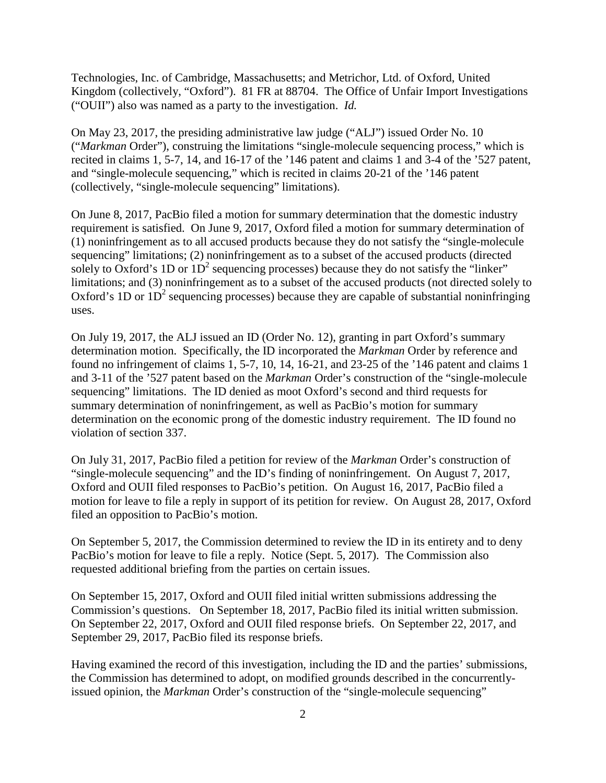Technologies, Inc. of Cambridge, Massachusetts; and Metrichor, Ltd. of Oxford, United Kingdom (collectively, "Oxford"). 81 FR at 88704. The Office of Unfair Import Investigations ("OUII") also was named as a party to the investigation. *Id.*

On May 23, 2017, the presiding administrative law judge ("ALJ") issued Order No. 10 ("*Markman* Order"), construing the limitations "single-molecule sequencing process," which is recited in claims 1, 5-7, 14, and 16-17 of the '146 patent and claims 1 and 3-4 of the '527 patent, and "single-molecule sequencing," which is recited in claims 20-21 of the '146 patent (collectively, "single-molecule sequencing" limitations).

On June 8, 2017, PacBio filed a motion for summary determination that the domestic industry requirement is satisfied. On June 9, 2017, Oxford filed a motion for summary determination of (1) noninfringement as to all accused products because they do not satisfy the "single-molecule sequencing" limitations; (2) noninfringement as to a subset of the accused products (directed solely to Oxford's 1D or  $1D<sup>2</sup>$  sequencing processes) because they do not satisfy the "linker" limitations; and (3) noninfringement as to a subset of the accused products (not directed solely to Oxford's 1D or  $1D<sup>2</sup>$  sequencing processes) because they are capable of substantial noninfringing uses.

On July 19, 2017, the ALJ issued an ID (Order No. 12), granting in part Oxford's summary determination motion. Specifically, the ID incorporated the *Markman* Order by reference and found no infringement of claims 1, 5-7, 10, 14, 16-21, and 23-25 of the '146 patent and claims 1 and 3-11 of the '527 patent based on the *Markman* Order's construction of the "single-molecule sequencing" limitations. The ID denied as moot Oxford's second and third requests for summary determination of noninfringement, as well as PacBio's motion for summary determination on the economic prong of the domestic industry requirement. The ID found no violation of section 337.

On July 31, 2017, PacBio filed a petition for review of the *Markman* Order's construction of "single-molecule sequencing" and the ID's finding of noninfringement. On August 7, 2017, Oxford and OUII filed responses to PacBio's petition. On August 16, 2017, PacBio filed a motion for leave to file a reply in support of its petition for review. On August 28, 2017, Oxford filed an opposition to PacBio's motion.

On September 5, 2017, the Commission determined to review the ID in its entirety and to deny PacBio's motion for leave to file a reply. Notice (Sept. 5, 2017). The Commission also requested additional briefing from the parties on certain issues.

On September 15, 2017, Oxford and OUII filed initial written submissions addressing the Commission's questions. On September 18, 2017, PacBio filed its initial written submission. On September 22, 2017, Oxford and OUII filed response briefs. On September 22, 2017, and September 29, 2017, PacBio filed its response briefs.

Having examined the record of this investigation, including the ID and the parties' submissions, the Commission has determined to adopt, on modified grounds described in the concurrentlyissued opinion, the *Markman* Order's construction of the "single-molecule sequencing"